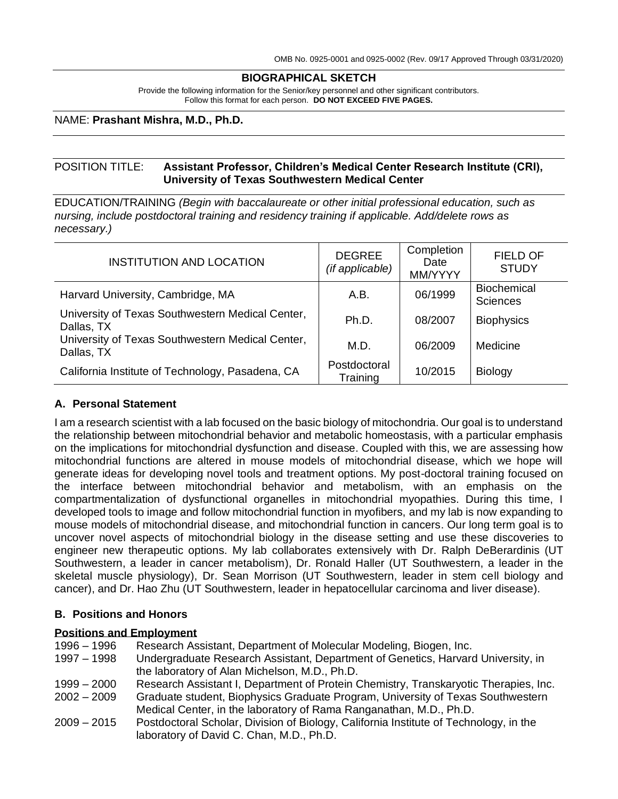#### **BIOGRAPHICAL SKETCH**

Provide the following information for the Senior/key personnel and other significant contributors. Follow this format for each person. **DO NOT EXCEED FIVE PAGES.**

#### NAME: **Prashant Mishra, M.D., Ph.D.**

### POSITION TITLE: **Assistant Professor, Children's Medical Center Research Institute (CRI), University of Texas Southwestern Medical Center**

EDUCATION/TRAINING *(Begin with baccalaureate or other initial professional education, such as nursing, include postdoctoral training and residency training if applicable. Add/delete rows as necessary.)*

| <b>INSTITUTION AND LOCATION</b>                                | <b>DEGREE</b><br>(if applicable) | Completion<br>Date<br>MM/YYYY | <b>FIELD OF</b><br><b>STUDY</b>       |
|----------------------------------------------------------------|----------------------------------|-------------------------------|---------------------------------------|
| Harvard University, Cambridge, MA                              | A.B.                             | 06/1999                       | <b>Biochemical</b><br><b>Sciences</b> |
| University of Texas Southwestern Medical Center,<br>Dallas, TX | Ph.D.                            | 08/2007                       | <b>Biophysics</b>                     |
| University of Texas Southwestern Medical Center,<br>Dallas, TX | M.D.                             | 06/2009                       | Medicine                              |
| California Institute of Technology, Pasadena, CA               | Postdoctoral<br>Training         | 10/2015                       | <b>Biology</b>                        |

### **A. Personal Statement**

I am a research scientist with a lab focused on the basic biology of mitochondria. Our goal is to understand the relationship between mitochondrial behavior and metabolic homeostasis, with a particular emphasis on the implications for mitochondrial dysfunction and disease. Coupled with this, we are assessing how mitochondrial functions are altered in mouse models of mitochondrial disease, which we hope will generate ideas for developing novel tools and treatment options. My post-doctoral training focused on the interface between mitochondrial behavior and metabolism, with an emphasis on the compartmentalization of dysfunctional organelles in mitochondrial myopathies. During this time, I developed tools to image and follow mitochondrial function in myofibers, and my lab is now expanding to mouse models of mitochondrial disease, and mitochondrial function in cancers. Our long term goal is to uncover novel aspects of mitochondrial biology in the disease setting and use these discoveries to engineer new therapeutic options. My lab collaborates extensively with Dr. Ralph DeBerardinis (UT Southwestern, a leader in cancer metabolism), Dr. Ronald Haller (UT Southwestern, a leader in the skeletal muscle physiology), Dr. Sean Morrison (UT Southwestern, leader in stem cell biology and cancer), and Dr. Hao Zhu (UT Southwestern, leader in hepatocellular carcinoma and liver disease).

### **B. Positions and Honors**

#### **Positions and Employment**

- 1996 1996 Research Assistant, Department of Molecular Modeling, Biogen, Inc. 1997 – 1998 Undergraduate Research Assistant, Department of Genetics, Harvard University, in the laboratory of Alan Michelson, M.D., Ph.D. 1999 – 2000 Research Assistant I, Department of Protein Chemistry, Transkaryotic Therapies, Inc. 2002 – 2009 Graduate student, Biophysics Graduate Program, University of Texas Southwestern Medical Center, in the laboratory of Rama Ranganathan, M.D., Ph.D. 2009 – 2015 Postdoctoral Scholar, Division of Biology, California Institute of Technology, in the
- laboratory of David C. Chan, M.D., Ph.D.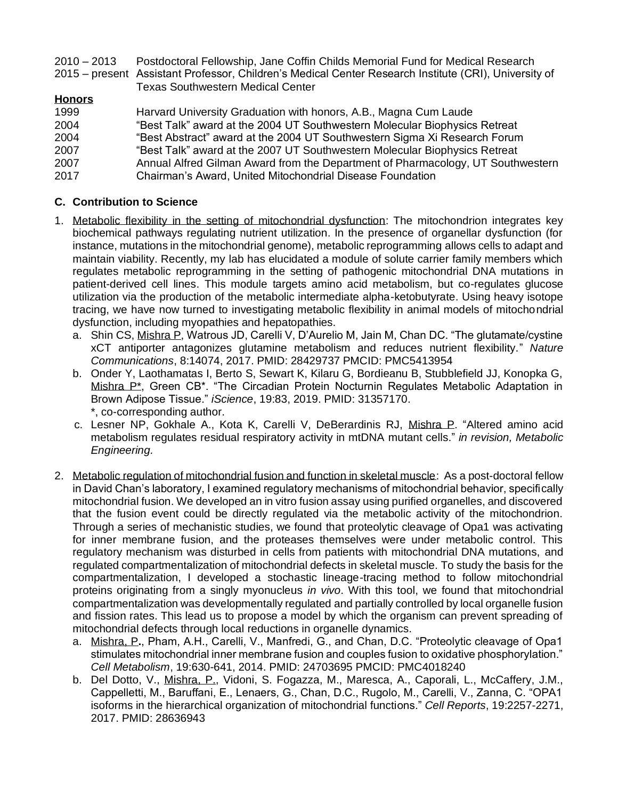2010 – 2013 Postdoctoral Fellowship, Jane Coffin Childs Memorial Fund for Medical Research 2015 – present Assistant Professor, Children's Medical Center Research Institute (CRI), University of Texas Southwestern Medical Center

# **Honors**

| 1999 | Harvard University Graduation with honors, A.B., Magna Cum Laude                |
|------|---------------------------------------------------------------------------------|
| 2004 | "Best Talk" award at the 2004 UT Southwestern Molecular Biophysics Retreat      |
| 2004 | "Best Abstract" award at the 2004 UT Southwestern Sigma Xi Research Forum       |
| 2007 | "Best Talk" award at the 2007 UT Southwestern Molecular Biophysics Retreat      |
| 2007 | Annual Alfred Gilman Award from the Department of Pharmacology, UT Southwestern |
| 2017 | Chairman's Award, United Mitochondrial Disease Foundation                       |

# **C. Contribution to Science**

- 1. Metabolic flexibility in the setting of mitochondrial dysfunction: The mitochondrion integrates key biochemical pathways regulating nutrient utilization. In the presence of organellar dysfunction (for instance, mutations in the mitochondrial genome), metabolic reprogramming allows cells to adapt and maintain viability. Recently, my lab has elucidated a module of solute carrier family members which regulates metabolic reprogramming in the setting of pathogenic mitochondrial DNA mutations in patient-derived cell lines. This module targets amino acid metabolism, but co-regulates glucose utilization via the production of the metabolic intermediate alpha-ketobutyrate. Using heavy isotope tracing, we have now turned to investigating metabolic flexibility in animal models of mitochondrial dysfunction, including myopathies and hepatopathies.
	- a. Shin CS, Mishra P, Watrous JD, Carelli V, D'Aurelio M, Jain M, Chan DC. "The glutamate/cystine xCT antiporter antagonizes glutamine metabolism and reduces nutrient flexibility." *Nature Communications*, 8:14074, 2017. PMID: 28429737 PMCID: PMC5413954
	- b. Onder Y, Laothamatas I, Berto S, Sewart K, Kilaru G, Bordieanu B, Stubblefield JJ, Konopka G, Mishra P<sup>\*</sup>, Green CB<sup>\*</sup>. "The Circadian Protein Nocturnin Regulates Metabolic Adaptation in Brown Adipose Tissue." *iScience*, 19:83, 2019. PMID: 31357170. \*, co-corresponding author.
	- c. Lesner NP, Gokhale A., Kota K, Carelli V, DeBerardinis RJ, Mishra P. "Altered amino acid metabolism regulates residual respiratory activity in mtDNA mutant cells." *in revision, Metabolic Engineering.*
- 2. Metabolic regulation of mitochondrial fusion and function in skeletal muscle: As a post-doctoral fellow in David Chan's laboratory, I examined regulatory mechanisms of mitochondrial behavior, specifically mitochondrial fusion. We developed an in vitro fusion assay using purified organelles, and discovered that the fusion event could be directly regulated via the metabolic activity of the mitochondrion. Through a series of mechanistic studies, we found that proteolytic cleavage of Opa1 was activating for inner membrane fusion, and the proteases themselves were under metabolic control. This regulatory mechanism was disturbed in cells from patients with mitochondrial DNA mutations, and regulated compartmentalization of mitochondrial defects in skeletal muscle. To study the basis for the compartmentalization, I developed a stochastic lineage-tracing method to follow mitochondrial proteins originating from a singly myonucleus *in vivo*. With this tool, we found that mitochondrial compartmentalization was developmentally regulated and partially controlled by local organelle fusion and fission rates. This lead us to propose a model by which the organism can prevent spreading of mitochondrial defects through local reductions in organelle dynamics.
	- a. Mishra, P**.**, Pham, A.H., Carelli, V., Manfredi, G., and Chan, D.C. "Proteolytic cleavage of Opa1 stimulates mitochondrial inner membrane fusion and couples fusion to oxidative phosphorylation." *Cell Metabolism*, 19:630-641, 2014. PMID: 24703695 PMCID: PMC4018240
	- b. Del Dotto, V., Mishra, P., Vidoni, S. Fogazza, M., Maresca, A., Caporali, L., McCaffery, J.M., Cappelletti, M., Baruffani, E., Lenaers, G., Chan, D.C., Rugolo, M., Carelli, V., Zanna, C. "OPA1 isoforms in the hierarchical organization of mitochondrial functions." *Cell Reports*, 19:2257-2271, 2017. PMID: 28636943